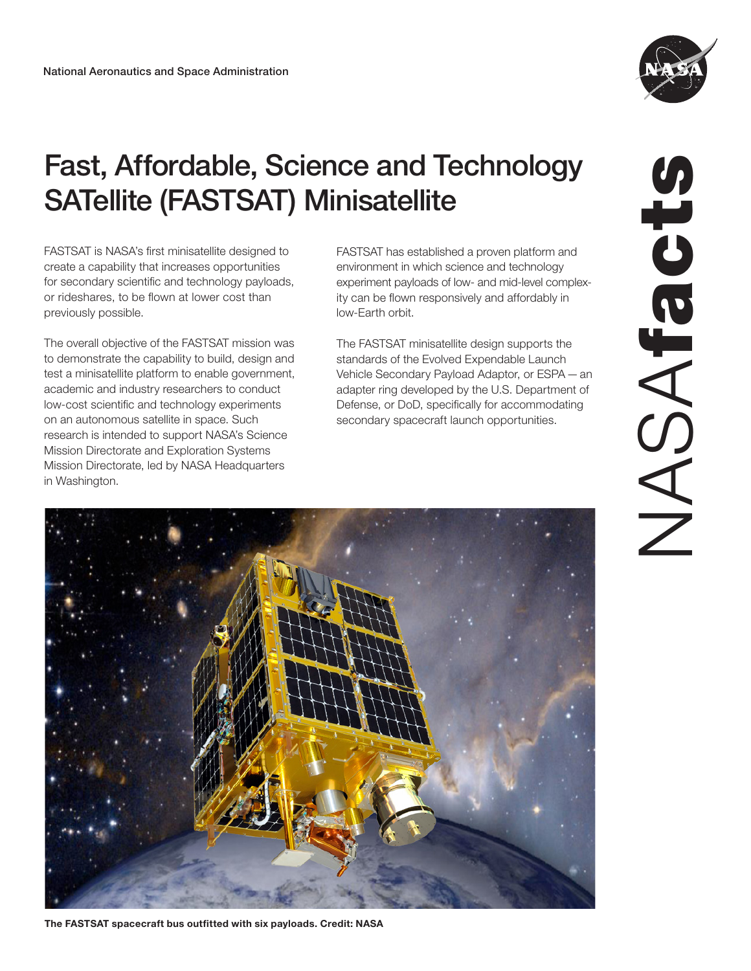

# Fast, Affordable, Science and Technology SATellite (FASTSAT) Minisatellite

FASTSAT is NASA's first minisatellite designed to create a capability that increases opportunities for secondary scientific and technology payloads, or rideshares, to be flown at lower cost than previously possible.

The overall objective of the FASTSAT mission was to demonstrate the capability to build, design and test a minisatellite platform to enable government, academic and industry researchers to conduct low-cost scientific and technology experiments on an autonomous satellite in space. Such research is intended to support NASA's Science Mission Directorate and Exploration Systems Mission Directorate, led by NASA Headquarters in Washington.

FASTSAT has established a proven platform and environment in which science and technology experiment payloads of low- and mid-level complexity can be flown responsively and affordably in low-Earth orbit.

The FASTSAT minisatellite design supports the standards of the Evolved Expendable Launch Vehicle Secondary Payload Adaptor, or ESPA—an adapter ring developed by the U.S. Department of Defense, or DoD, specifically for accommodating secondary spacecraft launch opportunities.

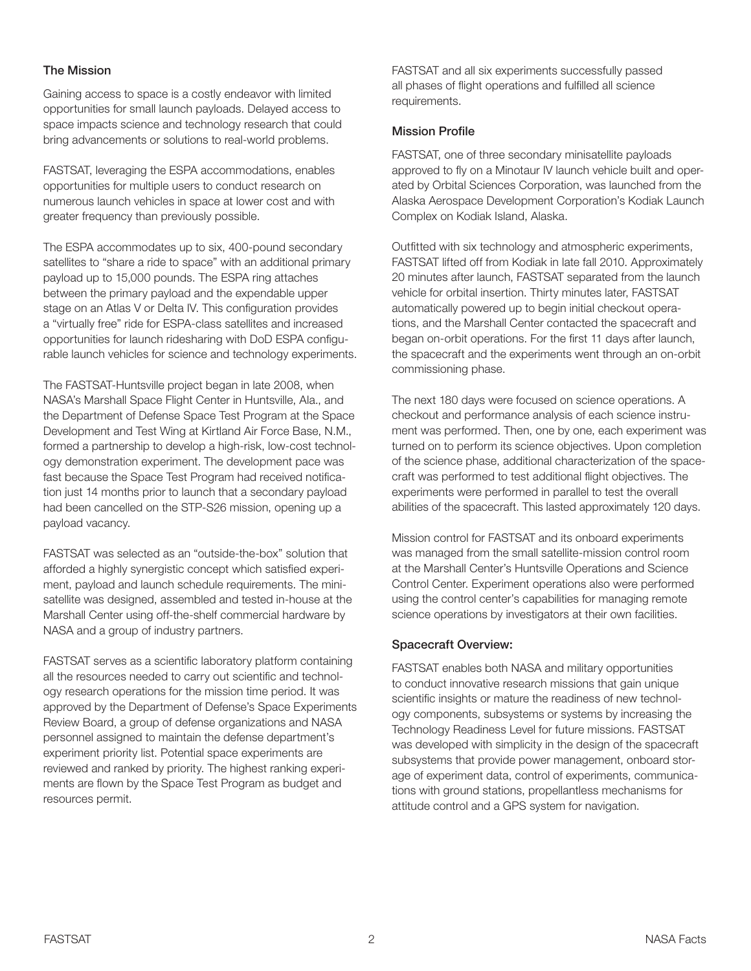### The Mission

Gaining access to space is a costly endeavor with limited opportunities for small launch payloads. Delayed access to space impacts science and technology research that could bring advancements or solutions to real-world problems.

FASTSAT, leveraging the ESPA accommodations, enables opportunities for multiple users to conduct research on numerous launch vehicles in space at lower cost and with greater frequency than previously possible.

The ESPA accommodates up to six, 400-pound secondary satellites to "share a ride to space" with an additional primary payload up to 15,000 pounds. The ESPA ring attaches between the primary payload and the expendable upper stage on an Atlas V or Delta IV. This configuration provides a "virtually free" ride for ESPA-class satellites and increased opportunities for launch ridesharing with DoD ESPA configurable launch vehicles for science and technology experiments.

The FASTSAT-Huntsville project began in late 2008, when NASA's Marshall Space Flight Center in Huntsville, Ala., and the Department of Defense Space Test Program at the Space Development and Test Wing at Kirtland Air Force Base, N.M., formed a partnership to develop a high-risk, low-cost technology demonstration experiment. The development pace was fast because the Space Test Program had received notification just 14 months prior to launch that a secondary payload had been cancelled on the STP-S26 mission, opening up a payload vacancy.

FASTSAT was selected as an "outside-the-box" solution that afforded a highly synergistic concept which satisfied experiment, payload and launch schedule requirements. The minisatellite was designed, assembled and tested in-house at the Marshall Center using off-the-shelf commercial hardware by NASA and a group of industry partners.

FASTSAT serves as a scientific laboratory platform containing all the resources needed to carry out scientific and technology research operations for the mission time period. It was approved by the Department of Defense's Space Experiments Review Board, a group of defense organizations and NASA personnel assigned to maintain the defense department's experiment priority list. Potential space experiments are reviewed and ranked by priority. The highest ranking experiments are flown by the Space Test Program as budget and resources permit.

FASTSAT and all six experiments successfully passed all phases of flight operations and fulfilled all science requirements.

#### Mission Profile

FASTSAT, one of three secondary minisatellite payloads approved to fly on a Minotaur IV launch vehicle built and operated by Orbital Sciences Corporation, was launched from the Alaska Aerospace Development Corporation's Kodiak Launch Complex on Kodiak Island, Alaska.

Outfitted with six technology and atmospheric experiments, FASTSAT lifted off from Kodiak in late fall 2010. Approximately 20 minutes after launch, FASTSAT separated from the launch vehicle for orbital insertion. Thirty minutes later, FASTSAT automatically powered up to begin initial checkout operations, and the Marshall Center contacted the spacecraft and began on-orbit operations. For the first 11 days after launch, the spacecraft and the experiments went through an on-orbit commissioning phase.

The next 180 days were focused on science operations. A checkout and performance analysis of each science instrument was performed. Then, one by one, each experiment was turned on to perform its science objectives. Upon completion of the science phase, additional characterization of the spacecraft was performed to test additional flight objectives. The experiments were performed in parallel to test the overall abilities of the spacecraft. This lasted approximately 120 days.

Mission control for FASTSAT and its onboard experiments was managed from the small satellite-mission control room at the Marshall Center's Huntsville Operations and Science Control Center. Experiment operations also were performed using the control center's capabilities for managing remote science operations by investigators at their own facilities.

#### Spacecraft Overview:

FASTSAT enables both NASA and military opportunities to conduct innovative research missions that gain unique scientific insights or mature the readiness of new technology components, subsystems or systems by increasing the Technology Readiness Level for future missions. FASTSAT was developed with simplicity in the design of the spacecraft subsystems that provide power management, onboard storage of experiment data, control of experiments, communications with ground stations, propellantless mechanisms for attitude control and a GPS system for navigation.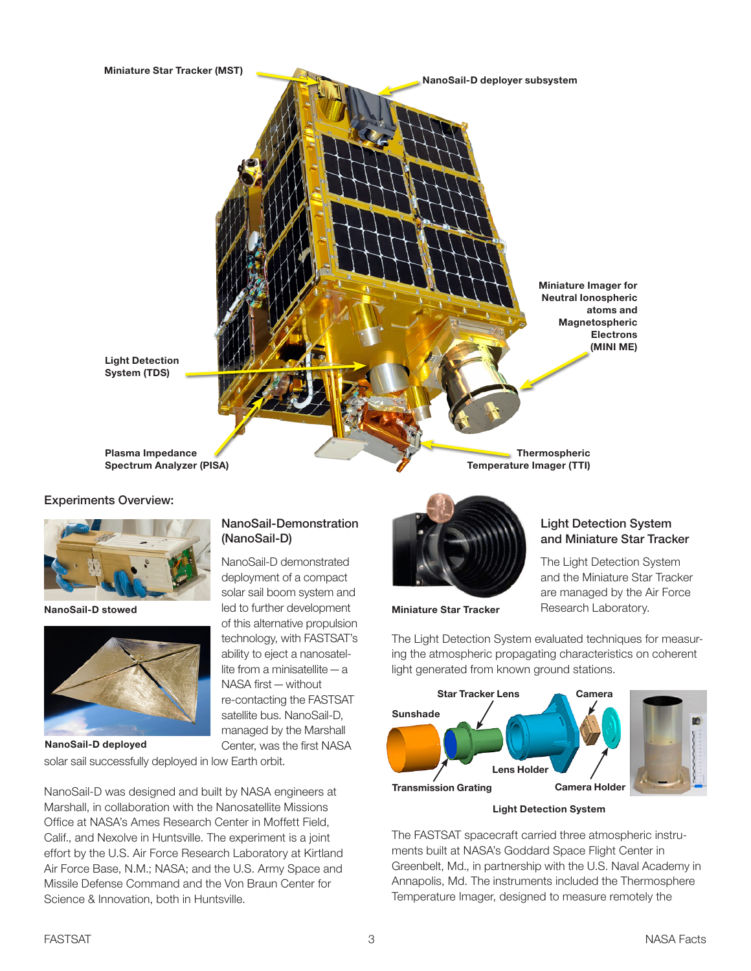

#### Experiments Overview:



NanoSail-D stowed



# NanoSail-Demonstration (NanoSail-D)

NanoSail-D demonstrated deployment of a compact solar sail boom system and led to further development of this alternative propulsion technology, with FASTSAT's ability to eject a nanosatellite from a minisatellite—a NASA first—without re-contacting the FASTSAT satellite bus. NanoSail-D, managed by the Marshall Center, was the first NASA

solar sail successfully deployed in low Earth orbit.

NanoSail-D was designed and built by NASA engineers at Marshall, in collaboration with the Nanosatellite Missions Office at NASA's Ames Research Center in Moffett Field, Calif., and Nexolve in Huntsville. The experiment is a joint effort by the U.S. Air Force Research Laboratory at Kirtland Air Force Base, N.M.; NASA; and the U.S. Army Space and Missile Defense Command and the Von Braun Center for Science & Innovation, both in Huntsville.



Miniature Star Tracker

# Light Detection System and Miniature Star Tracker

The Light Detection System and the Miniature Star Tracker are managed by the Air Force Research Laboratory.

The Light Detection System evaluated techniques for measuring the atmospheric propagating characteristics on coherent light generated from known ground stations.



Light Detection System

The FASTSAT spacecraft carried three atmospheric instruments built at NASA's Goddard Space Flight Center in Greenbelt, Md., in partnership with the U.S. Naval Academy in Annapolis, Md. The instruments included the Thermosphere Temperature Imager, designed to measure remotely the